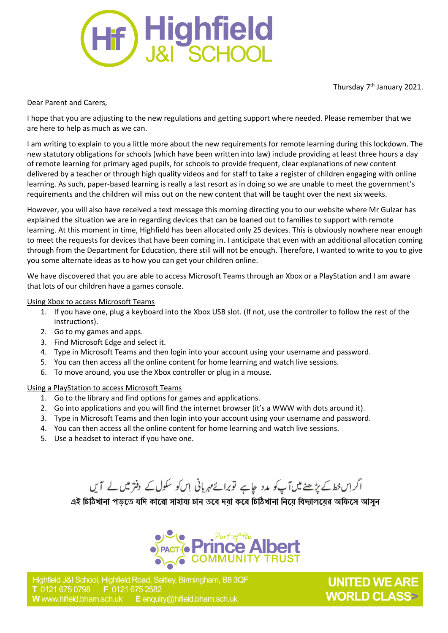

Thursday 7<sup>th</sup> January 2021.

Dear Parent and Carers,

I hope that you are adjusting to the new regulations and getting support where needed. Please remember that we are here to help as much as we can.

I am writing to explain to you a little more about the new requirements for remote learning during this lockdown. The new statutory obligations for schools (which have been written into law) include providing at least three hours a day of remote learning for primary aged pupils, for schools to provide frequent, clear explanations of new content delivered by a teacher or through high quality videos and for staff to take a register of children engaging with online learning. As such, paper-based learning is really a last resort as in doing so we are unable to meet the government's requirements and the children will miss out on the new content that will be taught over the next six weeks.

However, you will also have received a text message this morning directing you to our website where Mr Gulzar has explained the situation we are in regarding devices that can be loaned out to families to support with remote learning. At this moment in time, Highfield has been allocated only 25 devices. This is obviously nowhere near enough to meet the requests for devices that have been coming in. I anticipate that even with an additional allocation coming through from the Department for Education, there still will not be enough. Therefore, I wanted to write to you to give you some alternate ideas as to how you can get your children online.

We have discovered that you are able to access Microsoft Teams through an Xbox or a PlayStation and I am aware that lots of our children have a games console.

Using Xbox to access Microsoft Teams

- 1. If you have one, plug a keyboard into the Xbox USB slot. (If not, use the controller to follow the rest of the instructions).
- 2. Go to my games and apps.
- 3. Find Microsoft Edge and select it.
- 4. Type in Microsoft Teams and then login into your account using your username and password.
- 5. You can then access all the online content for home learning and watch live sessions.
- 6. To move around, you use the Xbox controller or plug in a mouse.

## Using a PlayStation to access Microsoft Teams

- 1. Go to the library and find options for games and applications.
- 2. Go into applications and you will find the internet browser (it's a WWW with dots around it).
- 3. Type in Microsoft Teams and then login into your account using your username and password.
- 4. You can then access all the online content for home learning and watch live sessions.
- 5. Use a headset to interact if you have one.

اگر اِس خط کے پڑھنے میں آپ کو مدد جاہے توبرائے مہربانی اِس کو سکول کے دفتر میں لے آیں

এই চিঠিখানা পড়তে যদি কারো সাহায্য চান তবে দয়া করে চিঠিখানা নিয়ে বিদ্যালয়ের অফিসে আসন



**UNITED WE ARE WORLD CLASS>**